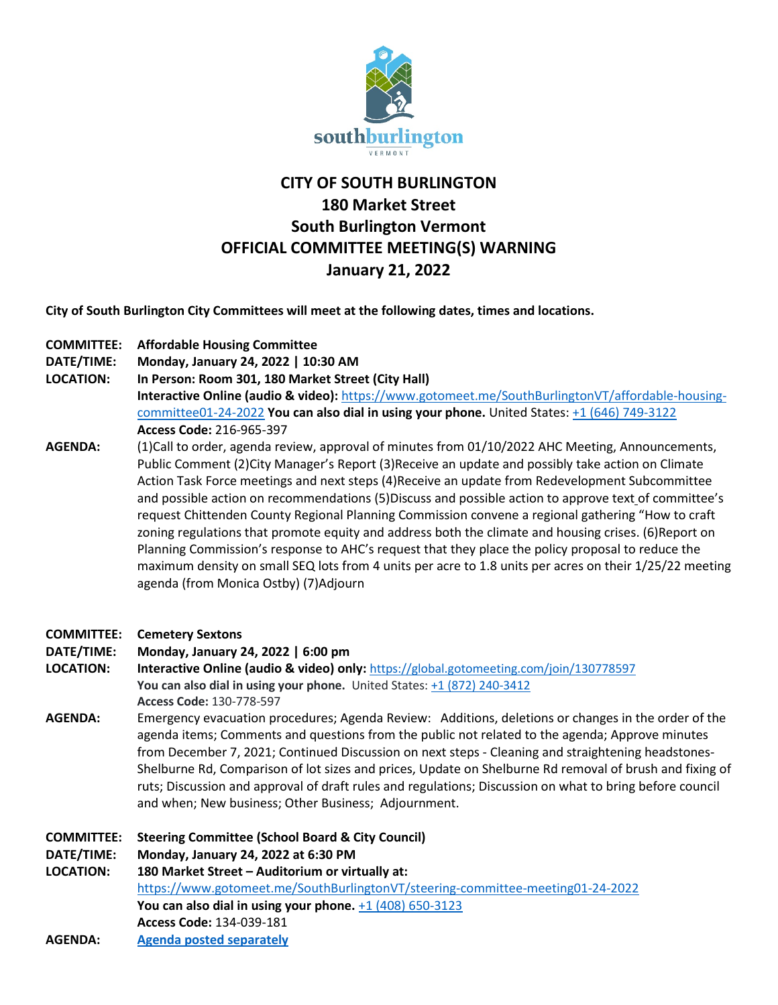

## **CITY OF SOUTH BURLINGTON 180 Market Street South Burlington Vermont OFFICIAL COMMITTEE MEETING(S) WARNING January 21, 2022**

**City of South Burlington City Committees will meet at the following dates, times and locations.** 

- **COMMITTEE: Affordable Housing Committee**
- **DATE/TIME: Monday, January 24, 2022 | 10:30 AM**
- **LOCATION: In Person: Room 301, 180 Market Street (City Hall)**

**Interactive Online (audio & video):** [https://www.gotomeet.me/SouthBurlingtonVT/affordable-housing](https://www.gotomeet.me/SouthBurlingtonVT/affordable-housing-committee01-24-2022)[committee01-24-2022](https://www.gotomeet.me/SouthBurlingtonVT/affordable-housing-committee01-24-2022) **You can also dial in using your phone.** United States[: +1 \(646\) 749-3122](tel:+16467493122,,216965397) **Access Code:** 216-965-397

**AGENDA:** (1)Call to order, agenda review, approval of minutes from 01/10/2022 AHC Meeting, Announcements, Public Comment (2)City Manager's Report (3)Receive an update and possibly take action on Climate Action Task Force meetings and next steps (4)Receive an update from Redevelopment Subcommittee and possible action on recommendations (5)Discuss and possible action to approve text of committee's request Chittenden County Regional Planning Commission convene a regional gathering "How to craft zoning regulations that promote equity and address both the climate and housing crises. (6)Report on Planning Commission's response to AHC's request that they place the policy proposal to reduce the maximum density on small SEQ lots from 4 units per acre to 1.8 units per acres on their 1/25/22 meeting agenda (from Monica Ostby) (7)Adjourn

## **COMMITTEE: Cemetery Sextons**

- **DATE/TIME: Monday, January 24, 2022 | 6:00 pm**
- **LOCATION: Interactive Online (audio & video) only:** <https://global.gotomeeting.com/join/130778597> **You can also dial in using your phone.** United States: [+1 \(872\) 240-3412](tel:+18722403412,,130778597) **Access Code:** 130-778-597
- **AGENDA:** Emergency evacuation procedures; Agenda Review: Additions, deletions or changes in the order of the agenda items; Comments and questions from the public not related to the agenda; Approve minutes from December 7, 2021; Continued Discussion on next steps - Cleaning and straightening headstones-Shelburne Rd, Comparison of lot sizes and prices, Update on Shelburne Rd removal of brush and fixing of ruts; Discussion and approval of draft rules and regulations; Discussion on what to bring before council and when; New business; Other Business; Adjournment.

| <b>COMMITTEE:</b> | <b>Steering Committee (School Board &amp; City Council)</b>                    |
|-------------------|--------------------------------------------------------------------------------|
| DATE/TIME:        | Monday, January 24, 2022 at 6:30 PM                                            |
| <b>LOCATION:</b>  | 180 Market Street - Auditorium or virtually at:                                |
|                   | https://www.gotomeet.me/SouthBurlingtonVT/steering-committee-meeting01-24-2022 |
|                   | You can also dial in using your phone. $+1$ (408) 650-3123                     |
|                   | Access Code: 134-039-181                                                       |
| AGENDA:           | <b>Agenda posted separately</b>                                                |